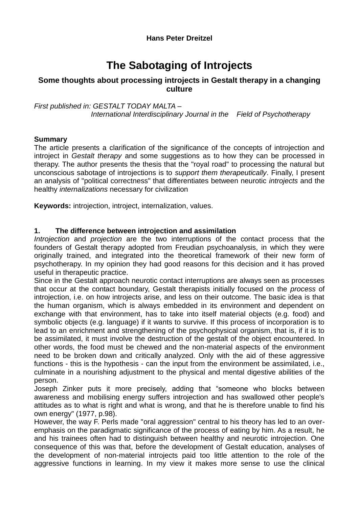# **The Sabotaging of Introjects**

# **Some thoughts about processing introjects in Gestalt therapy in a changing culture**

*First published in: GESTALT TODAY MALTA – International Interdisciplinary Journal in the Field of Psychotherapy*

#### **Summary**

The article presents a clarification of the significance of the concepts of introjection and introject in *Gestalt therapy* and some suggestions as to how they can be processed in therapy. The author presents the thesis that the "royal road" to processing the natural but unconscious sabotage of introjections is to *support them therapeutically*. Finally, I present an analysis of "political correctness" that differentiates between neurotic *introjects* and the healthy *internalizations* necessary for civilization

**Keywords:** introjection, introject, internalization, values.

## **1. The difference between introjection and assimilation**

*Introjection* and *projection* are the two interruptions of the contact process that the founders of Gestalt therapy adopted from Freudian psychoanalysis, in which they were originally trained, and integrated into the theoretical framework of their new form of psychotherapy. In my opinion they had good reasons for this decision and it has proved useful in therapeutic practice.

Since in the Gestalt approach neurotic contact interruptions are always seen as processes that occur at the contact boundary, Gestalt therapists initially focused on the *process* of introjection, i.e. on how introjects arise, and less on their outcome. The basic idea is that the human organism, which is always embedded in its environment and dependent on exchange with that environment, has to take into itself material objects (e.g. food) and symbolic objects (e.g. language) if it wants to survive. If this process of incorporation is to lead to an enrichment and strengthening of the psychophysical organism, that is, if it is to be assimilated, it must involve the destruction of the gestalt of the object encountered. In other words, the food must be chewed and the non-material aspects of the environment need to be broken down and critically analyzed. Only with the aid of these aggressive functions - this is the hypothesis - can the input from the environment be assimilated, i.e., culminate in a nourishing adjustment to the physical and mental digestive abilities of the person.

Joseph Zinker puts it more precisely, adding that "someone who blocks between awareness and mobilising energy suffers introjection and has swallowed other people's attitudes as to what is right and what is wrong, and that he is therefore unable to find his own energy" (1977, p.98).

However, the way F. Perls made "oral aggression" central to his theory has led to an overemphasis on the paradigmatic significance of the process of eating by him. As a result, he and his trainees often had to distinguish between healthy and neurotic introjection. One consequence of this was that, before the development of Gestalt education, analyses of the development of non-material introjects paid too little attention to the role of the aggressive functions in learning. In my view it makes more sense to use the clinical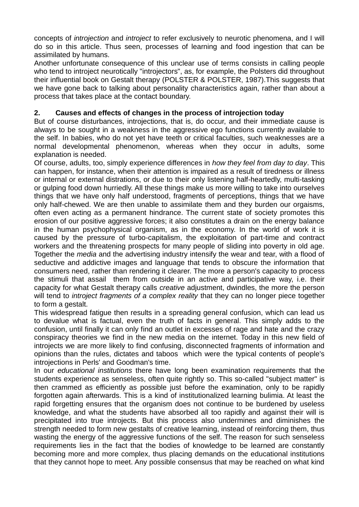concepts of *introjection* and *introject* to refer exclusively to neurotic phenomena, and I will do so in this article. Thus seen, processes of learning and food ingestion that can be assimilated by humans.

Another unfortunate consequence of this unclear use of terms consists in calling people who tend to introject neurotically "introjectors", as, for example, the Polsters did throughout their influential book on Gestalt therapy (POLSTER & POLSTER, 1987).This suggests that we have gone back to talking about personality characteristics again, rather than about a process that takes place at the contact boundary.

## **2. Causes and effects of changes in the process of introjection today**

But of course disturbances, introjections, that is, do occur, and their immediate cause is always to be sought in a weakness in the aggressive ego functions currently available to the self. In babies, who do not yet have teeth or critical faculties, such weaknesses are a normal developmental phenomenon, whereas when they occur in adults, some explanation is needed.

Of course, adults, too, simply experience differences in *how they feel from day to day*. This can happen, for instance, when their attention is impaired as a result of tiredness or illness or internal or external distrations, or due to their only listening half-heartedly, multi-tasking or gulping food down hurriedly. All these things make us more willing to take into ourselves things that we have only half understood, fragments of perceptions, things that we have only half-chewed. We are then unable to assimilate them and they burden our orgaisms, often even acting as a permanent hindrance. The current state of society promotes this erosion of our positive aggressive forces; it also constitutes a drain on the energy balance in the human psychophysical organism, as in the economy. In the world of work it is caused by the pressure of turbo-capitalism, the exploitation of part-time and contract workers and the threatening prospects for many people of sliding into poverty in old age. Together the *media* and the advertising industry intensify the wear and tear, with a flood of seductive and addictive images and language that tends to obscure the information that consumers need, rather than rendering it clearer. The more a person's capacity to process the stimuli that assail them from outside in an active and participative way, i.e. their capacity for what Gestalt therapy calls *creative* adjustment, dwindles, the more the person will tend to *introject fragments of a complex reality* that they can no longer piece together to form a gestalt.

This widespread fatigue then results in a spreading general confusion, which can lead us to devalue what is factual, even the truth of facts in general. This simply adds to the confusion, until finally it can only find an outlet in excesses of rage and hate and the crazy conspiracy theories we find in the new media on the internet. Today in this new field of introjects we are more likely to find confusing, disconnected fragments of information and opinions than the rules, dictates and taboos which were the typical contents of people's introjections in Perls' and Goodman's time.

In our *educational institutions* there have long been examination requirements that the students experience as senseless, often quite rightly so. This so-called "subject matter" is then crammed as efficiently as possible just before the examination, only to be rapidly forgotten again afterwards. This is a kind of institutionalized learning bulimia. At least the rapid forgetting ensures that the organism does not continue to be burdened by useless knowledge, and what the students have absorbed all too rapidly and against their will is precipitated into true introjects. But this process also undermines and diminishes the strength needed to form new gestalts of creative learning, instead of reinforcing them, thus wasting the energy of the aggressive functions of the self. The reason for such senseless requirements lies in the fact that the bodies of knowledge to be learned are constantly becoming more and more complex, thus placing demands on the educational institutions that they cannot hope to meet. Any possible consensus that may be reached on what kind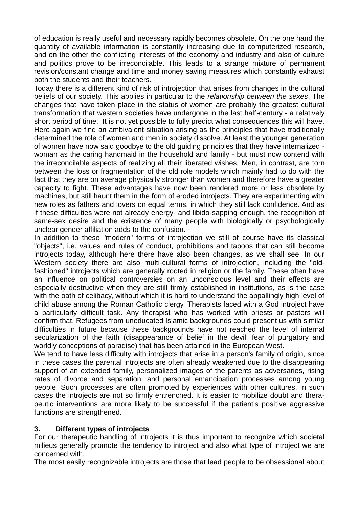of education is really useful and necessary rapidly becomes obsolete. On the one hand the quantity of available information is constantly increasing due to computerized research, and on the other the conflicting interests of the economy and industry and also of culture and politics prove to be irreconcilable. This leads to a strange mixture of permanent revision/constant change and time and money saving measures which constantly exhaust both the students and their teachers.

Today there is a different kind of risk of introjection that arises from changes in the cultural beliefs of our society. This applies in particular to the *relationship between the sexes*. The changes that have taken place in the status of women are probably the greatest cultural transformation that western societies have undergone in the last half-century - a relatively short period of time. It is not yet possible to fully predict what consequences this will have. Here again we find an ambivalent situation arising as the principles that have traditionally determined the role of women and men in society dissolve. At least the younger generation of women have now said goodbye to the old guiding principles that they have internalized woman as the caring handmaid in the household and family - but must now contend with the irreconcilable aspects of realizing all their liberated wishes. Men, in contrast, are torn between the loss or fragmentation of the old role models which mainly had to do with the fact that they are on average physically stronger than women and therefore have a greater capacity to fight. These advantages have now been rendered more or less obsolete by machines, but still haunt them in the form of eroded introjects. They are experimenting with new roles as fathers and lovers on equal terms, in which they still lack confidence. And as if these difficulties were not already energy- and libido-sapping enough, the recognition of same-sex desire and the existence of many people with biologically or psychologically unclear gender affiliation adds to the confusion.

In addition to these "modern" forms of introjection we still of course have its classical "objects", i.e. values and rules of conduct, prohibitions and taboos that can still become introjects today, although here there have also been changes, as we shall see. In our Western society there are also multi-cultural forms of introjection, including the "oldfashioned" introjects which are generally rooted in religion or the family. These often have an influence on political controversies on an unconscious level and their effects are especially destructive when they are still firmly established in institutions, as is the case with the oath of celibacy, without which it is hard to understand the appallingly high level of child abuse among the Roman Catholic clergy. Therapists faced with a God introject have a particularly difficult task. Any therapist who has worked with priests or pastors will confirm that. Refugees from uneducated Islamic backgrounds could present us with similar difficulties in future because these backgrounds have not reached the level of internal secularization of the faith (disappearance of belief in the devil, fear of purgatory and worldly conceptions of paradise) that has been attained in the European West.

We tend to have less difficulty with introjects that arise in a person's family of origin, since in these cases the parental introjects are often already weakened due to the disappearing support of an extended family, personalized images of the parents as adversaries, rising rates of divorce and separation, and personal emancipation processes among young people. Such processes are often promoted by experiences with other cultures. In such cases the introjects are not so firmly entrenched. It is easier to mobilize doubt and therapeutic interventions are more likely to be successful if the patient's positive aggressive functions are strengthened.

## **3. Different types of introjects**

For our therapeutic handling of introjects it is thus important to recognize which societal milieus generally promote the tendency to introject and also what type of introject we are concerned with.

The most easily recognizable introjects are those that lead people to be obsessional about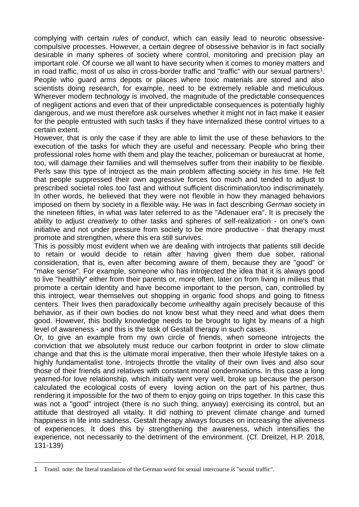complying with certain *rules of conduct*, which can easily lead to neurotic obsessivecompulsive processes. However, a certain degree of obsessive behavior is in fact socially desirable in many spheres of society where control, monitoring and precision play an important role. Of course we all want to have security when it comes to money matters and in road traffic, most of us also in cross-border traffic and "traffic" with our sexual partners<sup>1</sup>. People who guard arms depots or places where toxic materials are stored and also scientists doing research, for example, need to be extremely reliable and meticulous. Wherever modern technology is involved, the magnitude of the predictable consequences of negligent actions and even that of their unpredictable consequences is potentially highly dangerous, and we must therefore ask ourselves whether it might not in fact make it easier for the people entrusted with such tasks if they have internalized these control virtues to a certain extent.

However, that is only the case if they are able to limit the use of these behaviors to the execution of the tasks for which they are useful and necessary. People who bring their professional roles home with them and play the teacher, policeman or bureaucrat at home, too, will damage their families and will themselves suffer from their inability to be flexible. Perls saw this type of introject as the main problem affecting society in his time. He felt that people suppressed their own aggressive forces too much and tended to adjust to prescribed societal roles too fast and without sufficient discrimination/too indiscriminately. In other words, he believed that they were not flexible in how they managed behaviors imposed on them by society in a flexible way. He was in fact describing *German* society in the nineteen fifties, in what was later referred to as the "Adenauer era". It is precisely the ability to adjust *creatively* to other tasks and spheres of self-realization - on one's own initiative and not under pressure from society to be more productive - that therapy must promote and strengthen, where this era still survives.

This is possibly most evident when we are dealing with introjects that patients still decide to retain or would decide to retain after having given them due sober, rational consideration, that is, even after becoming aware of them, because they are "good" or "make sense". For example, someone who has introjected the idea that it is always good to live "healthily" either from their parents or, more often, later on from living in milieus that promote a certain identity and have become important to the person, can, controlled by this introject, wear themselves out shopping in organic food shops and going to fitness centers. Their lives then paradoxically become *un*healthy again precisely because of this behavior, as if their own bodies do not know best what they need and what does them good. However, this bodily knowledge needs to be brought to light by means of a high level of awareness - and this is the task of Gestalt therapy in such cases.

Or, to give an example from my own circle of friends, when someone introjects the conviction that we absolutely must reduce our carbon footprint in order to slow climate change and that this is the ultimate moral imperative, then their whole lifestyle takes on a highly fundamentalist tone. Introjects throttle the vitality of their own lives and also sour those of their friends and relatives with constant moral condemnations. In this case a long yearned-for love relationship, which initially went very well, broke up because the person calculated the ecological costs of every loving action on the part of his partner, thus rendering it impossible for the two of them to enjoy going on trips together. In this case this was not a "good" introject (there is no such thing, anyway) exercising its control, but an attitude that destroyed all vitality. It did nothing to prevent climate change and turned happiness in life into sadness. Gestalt therapy always focuses on increasing the aliveness of experiences. It does this by strengthening the awareness, which intensifies the experience, not necessarily to the detriment of the environment. (Cf. Dreitzel, H.P. 2018*,*  131-139)

1

<sup>1</sup> Transl. note: the literal translation of the German word for sexual intercourse is "sexual traffic".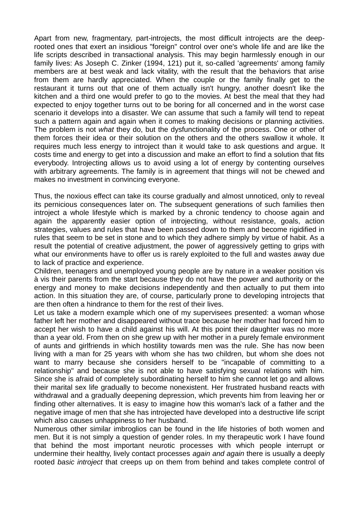Apart from new, fragmentary, part-introjects, the most difficult introjects are the deeprooted ones that exert an insidious "foreign" control over one's whole life and are like the life scripts described in transactional analysis. This may begin harmlessly enough in our family lives: As Joseph C. Zinker (1994, 121) put it, so-called 'agreements' among family members are at best weak and lack vitality, with the result that the behaviors that arise from them are hardly appreciated. When the couple or the family finally get to the restaurant it turns out that one of them actually isn't hungry, another doesn't like the kitchen and a third one would prefer to go to the movies. At best the meal that they had expected to enjoy together turns out to be boring for all concerned and in the worst case scenario it develops into a disaster. We can assume that such a family will tend to repeat such a pattern again and again when it comes to making decisions or planning activities. The problem is not *what* they do, but the dysfunctionality of the process. One or other of them forces their idea or their solution on the others and the others swallow it whole. It requires much less energy to introject than it would take to ask questions and argue. It costs time and energy to get into a discussion and make an effort to find a solution that fits everybody. Introjecting allows us to avoid using a lot of energy by contenting ourselves with arbitrary agreements. The family is in agreement that things will not be chewed and makes no investment in convincing everyone.

Thus, the noxious effect can take its course gradually and almost unnoticed, only to reveal its pernicious consequences later on. The subsequent generations of such families then introject a whole lifestyle which is marked by a chronic tendency to choose again and again the apparently easier option of introjecting, without resistance, goals, action strategies, values and rules that have been passed down to them and become rigidified in rules that seem to be set in stone and to which they adhere simply by virtue of habit. As a result the potential of creative adjustment, the power of aggressively getting to grips with what our environments have to offer us is rarely exploited to the full and wastes away due to lack of practice and experience.

Children, teenagers and unemployed young people are by nature in a weaker position vis à vis their parents from the start because they do not have the power and authority or the energy and money to make decisions independently and then actually to put them into action. In this situation they are, of course, particularly prone to developing introjects that are then often a hindrance to them for the rest of their lives.

Let us take a modern example which one of my supervisees presented: a woman whose father left her mother and disappeared without trace because her mother had forced him to accept her wish to have a child against his will. At this point their daughter was no more than a year old. From then on she grew up with her mother in a purely female environment of aunts and girlfriends in which hostility towards men was the rule. She has now been living with a man for 25 years with whom she has two children, but whom she does not want to marry because she considers herself to be "incapable of committing to a relationship" and because she is not able to have satisfying sexual relations with him. Since she is afraid of completely subordinating herself to him she cannot let go and allows their marital sex life gradually to become nonexistent. Her frustrated husband reacts with withdrawal and a gradually deepening depression, which prevents him from leaving her or finding other alternatives. It is easy to imagine how this woman's lack of a father and the negative image of men that she has introjected have developed into a destructive life script which also causes unhappiness to her husband.

Numerous other similar imbroglios can be found in the life histories of both women and men. But it is not simply a question of gender roles. In my therapeutic work I have found that behind the most important neurotic processes with which people interrupt or undermine their healthy, lively contact processes *again and again* there is usually a deeply rooted *basic introject* that creeps up on them from behind and takes complete control of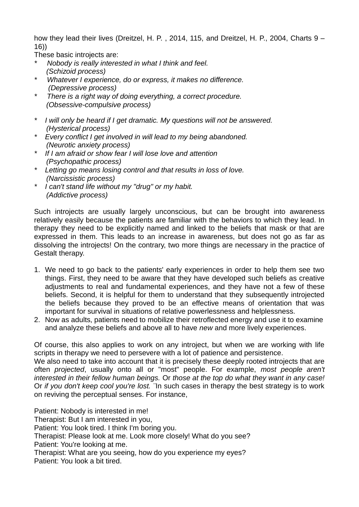how they lead their lives (Dreitzel, H. P., 2014, 115, and Dreitzel, H. P., 2004, Charts 9 – 16))

These basic introjects are:

- *\* Nobody is really interested in what I think and feel. (Schizoid process)*
- *\* Whatever I experience, do or express, it makes no difference. (Depressive process)*
- *\* There is a right way of doing everything, a correct procedure. (Obsessive-compulsive process)*
- *\* I will only be heard if I get dramatic. My questions will not be answered. (Hysterical process)*
- *\* Every conflict I get involved in will lead to my being abandoned. (Neurotic anxiety process)*
- *\* If I am afraid or show fear I will lose love and attention (Psychopathic process)*
- *\* Letting go means losing control and that results in loss of love. (Narcissistic process)*
- *\* I can't stand life without my "drug" or my habit. (Addictive process)*

Such introjects are usually largely unconscious, but can be brought into awareness relatively easily because the patients are familiar with the behaviors to which they lead. In therapy they need to be explicitly named and linked to the beliefs that mask or that are expressed in them. This leads to an increase in awareness, but does not go as far as dissolving the introjects! On the contrary, two more things are necessary in the practice of Gestalt therapy.

- 1. We need to go back to the patients' early experiences in order to help them see two things. First, they need to be aware that they have developed such beliefs as creative adjustments to real and fundamental experiences, and they have not a few of these beliefs. Second, it is helpful for them to understand that they subsequently introjected the beliefs because they proved to be an effective means of orientation that was important for survival in situations of relative powerlessness and helplessness.
- 2. Now as adults, patients need to mobilize their retroflected energy and use it to examine and analyze these beliefs and above all to have *new* and more lively experiences.

Of course, this also applies to work on any introject, but when we are working with life scripts in therapy we need to persevere with a lot of patience and persistence.

We also need to take into account that it is precisely these deeply rooted introjects that are often *projected*, usually onto all or "most" people. For example, *most people aren't interested in their fellow human beings.* Or *those at the top do what they want in any case!*  Or *if you don't keep cool you're lost. ¨*In such cases in therapy the best strategy is to work on reviving the perceptual senses. For instance,

Patient: Nobody is interested in me! Therapist: But I am interested in you, Patient: You look tired. I think I'm boring you. Therapist: Please look at me. Look more closely! What do you see? Patient: You're looking at me. Therapist: What are you seeing, how do you experience my eyes? Patient: You look a bit tired.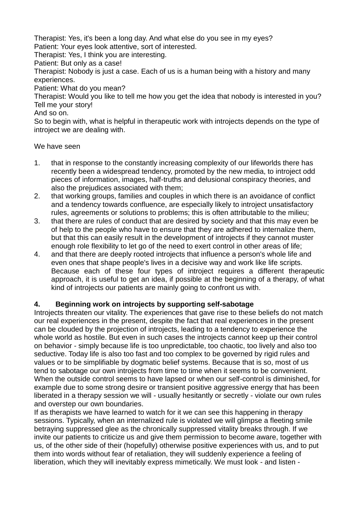Therapist: Yes, it's been a long day. And what else do you see in my eyes? Patient: Your eyes look attentive, sort of interested.

Therapist: Yes, I think you are interesting.

Patient: But only as a case!

Therapist: Nobody is just a case. Each of us is a human being with a history and many experiences.

Patient: What do you mean?

Therapist: Would you like to tell me how you get the idea that nobody is interested in you? Tell me your story!

And so on.

So to begin with, what is helpful in therapeutic work with introjects depends on the type of introject we are dealing with.

## We have seen

- 1. that in response to the constantly increasing complexity of our lifeworlds there has recently been a widespread tendency, promoted by the new media, to introject odd pieces of information, images, half-truths and delusional conspiracy theories, and also the prejudices associated with them;
- 2. that working groups, families and couples in which there is an avoidance of conflict and a tendency towards confluence, are especially likely to introject unsatisfactory rules, agreements or solutions to problems; this is often attributable to the milieu;
- 3. that there are rules of conduct that are desired by society and that this may even be of help to the people who have to ensure that they are adhered to internalize them, but that this can easily result in the development of introjects if they cannot muster enough role flexibility to let go of the need to exert control in other areas of life;
- 4. and that there are deeply rooted introjects that influence a person's whole life and even ones that shape people's lives in a decisive way and work like life scripts. Because each of these four types of introject requires a different therapeutic approach, it is useful to get an idea, if possible at the beginning of a therapy, of what kind of introjects our patients are mainly going to confront us with.

## **4. Beginning work on introjects by supporting self-sabotage**

Introjects threaten our vitality. The experiences that gave rise to these beliefs do not match our real experiences in the present, despite the fact that real experiences in the present can be clouded by the projection of introjects, leading to a tendency to experience the whole world as hostile. But even in such cases the introjects cannot keep up their control on behavior - simply because life is too unpredictable, too chaotic, too lively and also too seductive. Today life is also too fast and too complex to be governed by rigid rules and values or to be simplifiable by dogmatic belief systems. Because that is so, most of us tend to sabotage our own introjects from time to time when it seems to be convenient. When the outside control seems to have lapsed or when our self-control is diminished, for example due to some strong desire or transient positive aggressive energy that has been liberated in a therapy session we will - usually hesitantly or secretly - violate our own rules and overstep our own boundaries.

If as therapists we have learned to watch for it we can see this happening in therapy sessions. Typically, when an internalized rule is violated we will glimpse a fleeting smile betraying suppressed glee as the chronically suppressed vitality breaks through. If we invite our patients to criticize us and give them permission to become aware, together with us, of the other side of their (hopefully) otherwise positive experiences with us, and to put them into words without fear of retaliation, they will suddenly experience a feeling of liberation, which they will inevitably express mimetically. We must look - and listen -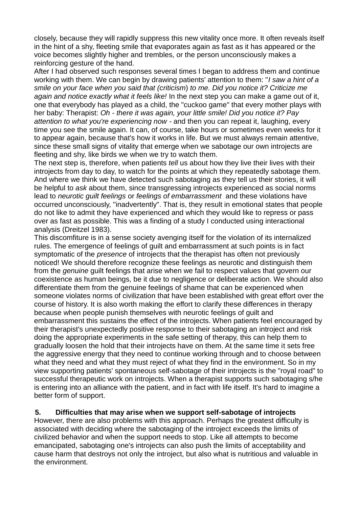closely, because they will rapidly suppress this new vitality once more. It often reveals itself in the hint of a shy, fleeting smile that evaporates again as fast as it has appeared or the voice becomes slightly higher and trembles, or the person unconsciously makes a reinforcing gesture of the hand.

After I had observed such responses several times I began to address them and continue working with them. We can begin by drawing patients' attention to them: "*I saw a hint of a smile on your face when you said that (criticism*) *to me. Did you notice it? Criticize me again and notice exactly what it feels like!* In the next step you can make a game out of it, one that everybody has played as a child, the "cuckoo game" that every mother plays with her baby: Therapist: *Oh - there it was again, your little smile! Did you notice it? Pay attention to what you're experiencing now -* and then you can repeat it, laughing, every time you see the smile again. It can, of course, take hours or sometimes even weeks for it to appear again, because that's how it works in life. But we must always remain attentive, since these small signs of vitality that emerge when we sabotage our own introjects are fleeting and shy, like birds we when we try to watch them.

The next step is, therefore, when patients *tell* us about how they live their lives with their introjects from day to day, to watch for the points at which they repeatedly sabotage them. And where we think we have detected such sabotaging as they tell us their stories, it will be helpful to *ask* about them, since transgressing introjects experienced as social norms lead to *neurotic guilt feelings* or *feelings of embarrassment* and these violations have occurred unconsciously, "inadvertently". That is, they result in emotional states that people do not like to admit they have experienced and which they would like to repress or pass over as fast as possible. This was a finding of a study I conducted using interactional analysis (Dreitzel 1983).

This discomfiture is in a sense society avenging itself for the violation of its internalized rules. The emergence of feelings of guilt and embarrassment at such points is in fact symptomatic of the *presence* of introjects that the therapist has often not previously noticed! We should therefore recognize these feelings as neurotic and distinguish them from the *genuine* guilt feelings that arise when we fail to respect values that govern our coexistence as human beings, be it due to negligence or deliberate action. We should also differentiate them from the genuine feelings of shame that can be experienced when someone violates norms of civilization that have been established with great effort over the course of history. It is also worth making the effort to clarify these differences in therapy because when people punish themselves with neurotic feelings of guilt and embarrassment this sustains the effect of the introjects. When patients feel encouraged by their therapist's unexpectedly positive response to their sabotaging an introject and risk doing the appropriate experiments in the safe setting of therapy, this can help them to gradually loosen the hold that their introjects have on them. At the same time it sets free the aggressive energy that they need to continue working through and to choose between what they need and what they must reject of what they find in the environment. So in my view supporting patients' spontaneous self-sabotage of their introjects is the "royal road" to successful therapeutic work on introjects. When a therapist supports such sabotaging s/he is entering into an alliance with the patient, and in fact with life itself. It's hard to imagine a better form of support.

#### **5. Difficulties that may arise when we support self-sabotage of introjects**

However, there are also problems with this approach. Perhaps the greatest difficulty is associated with deciding where the sabotaging of the introject exceeds the limits of civilized behavior and when the support needs to stop. Like all attempts to become emancipated, sabotaging one's introjects can also push the limits of acceptability and cause harm that destroys not only the introject, but also what is nutritious and valuable in the environment.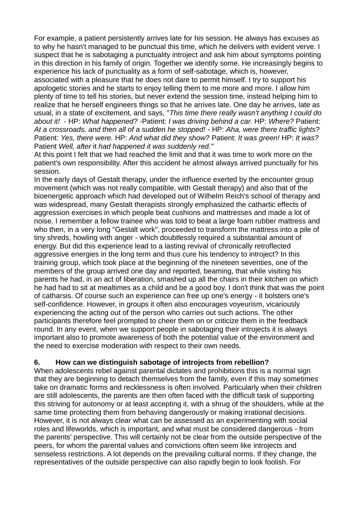For example, a patient persistently arrives late for his session. He always has excuses as to why he hasn't managed to be punctual this time, which he delivers with evident verve. I suspect that he is sabotaging a punctuality introject and ask him about symptoms pointing in this direction in his family of origin. Together we identify some. He increasingly begins to experience his lack of punctuality as a form of self-sabotage, which is, however, associated with a pleasure that he does not dare to permit himself. I try to support his apologetic stories and he starts to enjoy telling them to me more and more. I allow him

plenty of time to tell his stories, but never extend the session time, instead helping him to realize that he herself engineers things so that he arrives late. One day he arrives, late as usual, in a state of excitement, and says, "*This time there really wasn't anything I could do about it!* - HP: *What happened? -*Patient: *I was driving behind a car.* HP: *Where?* Patient: *At a crossroads, and then all of a sudden he stopped! -* HP: *Aha, were there traffic lights?*  Patient: *Yes, there were.* HP: *And what did they show?* Patient: *It was green!* HP: *It was?*  Patient *Well, after* it *had happened it was suddenly red."* 

At this point I felt that we had reached the limit and that it was time to work more on the patient's own responsibility. After this accident he almost always arrived punctually for his session.

In the early days of Gestalt therapy, under the influence exerted by the encounter group movement (which was not really compatible, with Gestalt therapy) and also that of the bioenergetic approach which had developed out of Wilhelm Reich's school of therapy and was widespread, many Gestalt therapists strongly emphasized the cathartic effects of aggression exercises in which people beat cushions and mattresses and made a lot of noise. I remember a fellow trainee who was told to beat a large foam rubber mattress and who then, in a very long "Gestalt work", proceeded to transform the mattress into a pile of tiny shreds, howling with anger - which doubtlessly required a substantial amount of energy. But did this experience lead to a lasting revival of chronically retroflected aggressive energies in the long term and thus cure his tendency to introject? In this training group, which took place at the beginning of the nineteen seventies, one of the members of the group arrived one day and reported, beaming, that while visiting his parents he had, in an act of liberation, smashed up all the chairs in their kitchen on which he had had to sit at mealtimes as a child and be a good boy. I don't think that was the point of catharsis. Of course such an experience can free up one's energy - it bolsters one's self-confidence. However, in groups it often also encourages voyeurism, vicariously experiencing the acting out of the person who carries out such actions. The other participants therefore feel prompted to cheer them on or criticize them in the feedback round. In any event, when we support people in sabotaging their introjects it is always important also to promote awareness of both the potential value of the environment and the need to exercise moderation with respect to their own needs.

## **6. How can we distinguish sabotage of introjects from rebellion?**

When adolescents rebel against parental dictates and prohibitions this is a normal sign that they are beginning to detach themselves from the family, even if this may sometimes take on dramatic forms and recklessness is often involved. Particularly when their children are still adolescents, the parents are then often faced with the difficult task of supporting this striving for autonomy or at least accepting it, with a shrug of the shoulders, while at the same time protecting them from behaving dangerously or making irrational decisions. However, it is not always clear what can be assessed as an experimenting with social roles and lifeworlds, which is important, and what must be considered dangerous - from the parents' perspective. This will certainly not be clear from the outside perspective of the peers, for whom the parental values and convictions often seem like introjects and senseless restrictions. A lot depends on the prevailing cultural norms. If they change, the representatives of the outside perspective can also rapidly begin to look foolish. For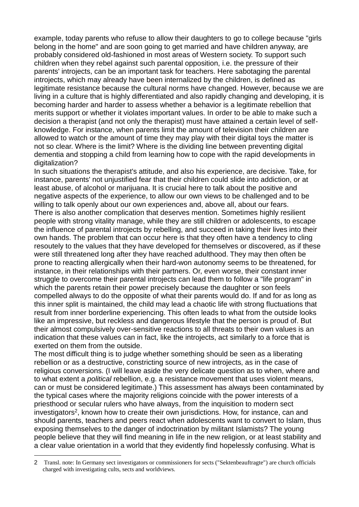example, today parents who refuse to allow their daughters to go to college because "girls belong in the home" and are soon going to get married and have children anyway, are probably considered old-fashioned in most areas of Western society. To support such children when they rebel against such parental opposition, i.e. the pressure of their parents' introjects, can be an important task for teachers. Here sabotaging the parental introjects, which may already have been internalized by the children, is defined as legitimate resistance because the cultural norms have changed. However, because we are living in a culture that is highly differentiated and also rapidly changing and developing, it is becoming harder and harder to assess whether a behavior is a legitimate rebellion that merits support or whether it violates important values. In order to be able to make such a decision a therapist (and not only the therapist) must have attained a certain level of selfknowledge. For instance, when parents limit the amount of television their children are allowed to watch or the amount of time they may play with their digital toys the matter is not so clear. Where is the limit? Where is the dividing line between preventing digital dementia and stopping a child from learning how to cope with the rapid developments in digitalization?

In such situations the therapist's attitude, and also his experience, are decisive. Take, for instance, parents' not unjustified fear that their children could slide into addiction, or at least abuse, of alcohol or marijuana. It is crucial here to talk about the positive and negative aspects of the experience, to allow our own views to be challenged and to be willing to talk openly about our own experiences and, above all, about our fears. There is also another complication that deserves mention. Sometimes highly resilient people with strong vitality manage, while they are still children or adolescents, to escape the influence of parental introjects by rebelling, and succeed in taking their lives into their own hands. The problem that can occur here is that they often have a tendency to cling resoutely to the values that they have developed for themselves or discovered, as if these were still threatened long after they have reached adulthood. They may then often be prone to reacting allergically when their hard-won autonomy seems to be threatened, for instance, in their relationships with their partners. Or, even worse, their constant inner struggle to overcome their parental introjects can lead them to follow a "life program" in which the parents retain their power precisely because the daughter or son feels compelled always to do the opposite of what their parents would do. If and for as long as this inner split is maintained, the child may lead a chaotic life with strong fluctuations that result from inner borderline experiencing. This often leads to what from the outside looks like an impressive, but reckless and dangerous lifestyle that the person is proud of. But their almost compulsively over-sensitive reactions to all threats to their own values is an indication that these values can in fact, like the introjects, act similarly to a force that is exerted on them from the outside.

The most difficult thing is to judge whether something should be seen as a liberating rebellion or as a destructive, constricting source of new introjects, as in the case of religious conversions. (I will leave aside the very delicate question as to when, where and to what extent a *political* rebellion, e.g. a resistance movement that uses violent means, can or must be considered legitimate.) This assessment has always been contaminated by the typical cases where the majority religions coincide with the power interests of a priesthood or secular rulers who have always, from the inquisition to modern sect investigators<sup>2</sup>, known how to create their own jurisdictions. How, for instance, can and should parents, teachers and peers react when adolescents want to convert to Islam, thus exposing themselves to the danger of indoctrination by militant Islamists? The young people believe that they will find meaning in life in the new religion, or at least stability and a clear value orientation in a world that they evidently find hopelessly confusing. What is

1

<sup>2</sup> Transl. note: In Germany sect investigators or commissioners for sects ("Sektenbeauftragte") are church officials charged with investigating cults, sects and worldviews.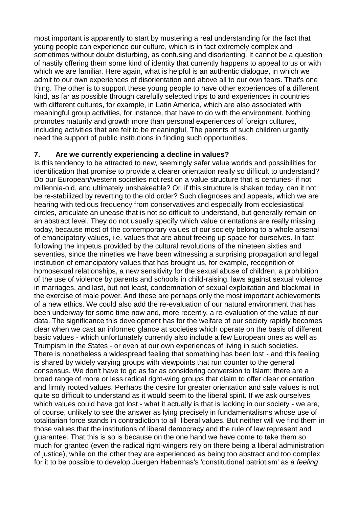most important is apparently to start by mustering a real understanding for the fact that young people can experience our culture, which is in fact extremely complex and sometimes without doubt disturbing, as confusing and disorienting. It cannot be a question of hastily offering them some kind of identity that currently happens to appeal to us or with which we are familiar. Here again, what is helpful is an authentic dialogue, in which we admit to our own experiences of disorientation and above all to our own fears. That's one thing. The other is to support these young people to have other experiences of a different kind, as far as possible through carefully selected trips to and experiences in countries with different cultures, for example, in Latin America, which are also associated with meaningful group activities, for instance, that have to do with the environment. Nothing promotes maturity and growth more than personal experiences of foreign cultures, including activities that are felt to be meaningful. The parents of such children urgently need the support of public institutions in finding such opportunities.

## **7. Are we currently experiencing a decline in values?**

Is this tendency to be attracted to new, seemingly safer value worlds and possibilities for identification that promise to provide a clearer orientation really so difficult to understand? Do our European/western societies not rest on a value structure that is centuries- if not millennia-old, and ultimately unshakeable? Or, if this structure is shaken today, can it not be re-stabilized by reverting to the old order? Such diagnoses and appeals, which we are hearing with tedious frequency from conservatives and especially from ecclesiastical circles, articulate an unease that is not so difficult to understand, but generally remain on an abstract level. They do not usually specify which value orientations are really missing today, because most of the contemporary values of our society belong to a whole arsenal of emancipatory values, i.e. values that are about freeing up space for ourselves. In fact, following the impetus provided by the cultural revolutions of the nineteen sixties and seventies, since the nineties we have been witnessing a surprising propagation and legal institution of emancipatory values that has brought us, for example, recognition of homosexual relationships, a new sensitivity for the sexual abuse of children, a prohibition of the use of violence by parents and schools in child-raising, laws against sexual violence in marriages, and last, but not least, condemnation of sexual exploitation and blackmail in the exercise of male power. And these are perhaps only the most important achievements of a new ethics. We could also add the re-evaluation of our natural environment that has been underway for some time now and, more recently, a re-evaluation of the value of our data. The significance this development has for the welfare of our society rapidly becomes clear when we cast an informed glance at societies which operate on the basis of different basic values - which unfortunately currently also include a few European ones as well as Trumpism in the States - or even at our own experiences of living in such societies. There is nonetheless a widespread feeling that something has been lost - and this feeling is shared by widely varying groups with viewpoints that run counter to the general consensus. We don't have to go as far as considering conversion to Islam; there are a broad range of more or less radical right-wing groups that claim to offer clear orientation and firmly rooted values. Perhaps the desire for greater orientation and safe values is not quite so difficult to understand as it would seem to the liberal spirit. If we ask ourselves which values could have got lost - what it actually is that is lacking in our society - we are, of course, unlikely to see the answer as lying precisely in fundamentalisms whose use of totalitarian force stands in contradiction to all liberal values. But neither will we find them in those values that the institutions of liberal democracy and the rule of law represent and guarantee. That this is so is because on the one hand we have come to take them so much for granted (even the radical right-wingers rely on there being a liberal administration of justice), while on the other they are experienced as being too abstract and too complex for it to be possible to develop Juergen Habermas's 'constitutional patriotism' as a *feeling*.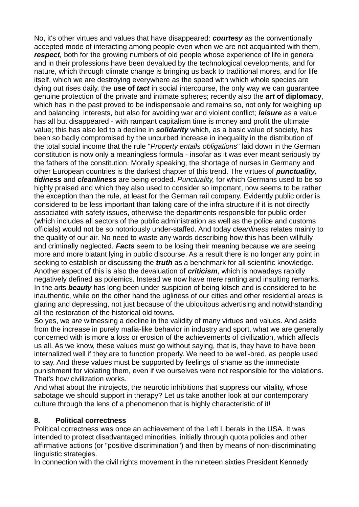No, it's other virtues and values that have disappeared: *courtesy* as the conventionally accepted mode of interacting among people even when we are not acquainted with them, *respect*, both for the growing numbers of old people whose experience of life in general and in their professions have been devalued by the technological developments, and for nature, which through climate change is bringing us back to traditional mores, and for life itself, which we are destroying everywhere as the speed with which whole species are dying out rises daily, the **use of** *tact* in social intercourse, the only way we can guarantee genuine protection of the private and intimate spheres; recently also the *art* **of diplomacy**, which has in the past proved to be indispensable and remains so, not only for weighing up and balancing interests, but also for avoiding war and violent conflict; *leisure* as a value has all but disappeared - with rampant capitalism time is money and profit the ultimate value; this has also led to a decline in *solidarity* which, as a basic value of society, has been so badly compromised by the uncurbed increase in inequality in the distribution of the total social income that the rule "*Property entails obligations*" laid down in the German constitution is now only a meaningless formula - insofar as it was ever meant seriously by the fathers of the constitution. Morally speaking, the shortage of nurses in Germany and other European countries is the darkest chapter of this trend. The virtues of *punctuality, tidiness* and *cleanliness* are being eroded. *Punctuality,* for which Germans used to be so highly praised and which they also used to consider so important, now seems to be rather the exception than the rule, at least for the German rail company. Evidently public order is considered to be less important than taking care of the infra structure if it is not directly associated with safety issues, otherwise the departments responsible for public order (which includes all sectors of the public administration as well as the police and customs officials) would not be so notoriously under-staffed. And today *cleanliness* relates mainly to the quality of our air. No need to waste any words describing how this has been willfully and criminally neglected. *Facts* seem to be losing their meaning because we are seeing more and more blatant lying in public discourse. As a result there is no longer any point in seeking to establish or discussing the *truth* as a benchmark for all scientific knowledge. Another aspect of this is also the devaluation of *criticism*, which is nowadays rapidly negatively defined as polemics. Instead we now have mere ranting and insulting remarks. In the arts *beauty* has long been under suspicion of being kitsch and is considered to be inauthentic, while on the other hand the ugliness of our cities and other residential areas is glaring and depressing, not just because of the ubiquitous advertising and notwithstanding all the restoration of the historical old towns.

So yes, we *are* witnessing a decline in the validity of many virtues and values. And aside from the increase in purely mafia-like behavior in industry and sport, what we are generally concerned with is more a loss or erosion of the achievements of civilization, which affects us all. As we know, these values must go without saying, that is, they have to have been internalized well if they are to function properly. We need to be well-bred, as people used to say. And these values must be supported by feelings of shame as the immediate punishment for violating them, even if we ourselves were not responsible for the violations. That's how civilization works.

And what about the introjects, the neurotic inhibitions that suppress our vitality, whose sabotage we should support in therapy? Let us take another look at our contemporary culture through the lens of a phenomenon that is highly characteristic of it!

## **8. Political correctness**

Political correctness was once an achievement of the Left Liberals in the USA. It was intended to protect disadvantaged minorities, initially through quota policies and other affirmative actions (or "positive discrimination") and then by means of non-discriminating linguistic strategies.

In connection with the civil rights movement in the nineteen sixties President Kennedy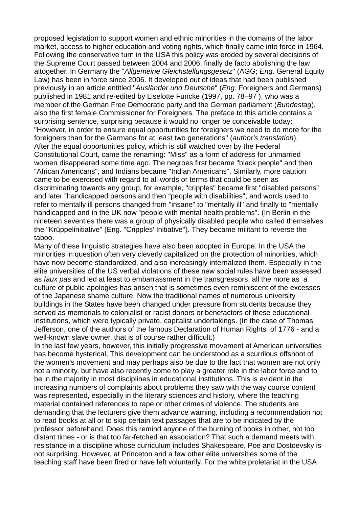proposed legislation to support women and ethnic minorities in the domains of the labor market, access to higher education and voting rights, which finally came into force in 1964. Following the conservative turn in the USA this policy was eroded by several decisions of the Supreme Court passed between 2004 and 2006, finally de facto abolishing the law altogether. In Germany the "*Allgemeine Gleichstellungsgesetz*" (AGG; *Eng*. General Equity Law) has been in force since 2006. It developed out of ideas that had been published previously in an article entitled "*Ausländer und Deutsche*" (*Eng*. Foreigners and Germans) published in 1981 and re-edited by Liselotte Funcke (1997, pp. 78–97 ), who was a member of the German Free Democratic party and the German parliament (*Bundestag*), also the first female Commissioner for Foreigners. The preface to this article contains a surprising sentence, surprising because it would no longer be conceivable today: "However, in order to ensure equal opportunities for foreigners we need to do more for the foreigners than for the Germans for at least two generations" (*author's translation*). After the equal opportunities policy, which is still watched over by the Federal Constitutional Court, came the renaming: "Miss" as a form of address for unmarried women disappeared some time ago. The negroes first became "black people" and then "African Americans", and Indians became "Indian Americans". Similarly, more caution came to be exercised with regard to all words or terms that could be seen as discriminating towards any group, for example, "cripples" became first "disabled persons" and later "handicapped persons and then "people with disabilities", and words used to refer to mentally ill persons changed from "insane" to "mentally ill" and finally to "mentally handicapped and in the UK now "people with mental health problems". (In Berlin in the nineteen seventies there was a group of physically disabled people who called themselves the "Krüppelinitiative" (Eng. "Cripples' Initiative"). They became militant to reverse the taboo.

Many of these linguistic strategies have also been adopted in Europe. In the USA the minorities in question often very cleverly capitalized on the protection of minorities, which have now become standardized, and also increasingly internalized them. Especially in the elite universities of the US verbal violations of these new social rules have been assessed as *faux pas* and led at least to embarrassment in the transgressors, all the more as a culture of public apologies has arisen that is sometimes even reminiscent of the excesses of the Japanese shame culture. Now the traditional names of numerous university buildings in the States have been changed under pressure from students because they served as memorials to colonialist or racist donors or benefactors of these educational institutions, which were typically private, capitalist undertakings. (In the case of Thomas Jefferson, one of the authors of the famous Declaration of Human Rights of 1776 - and a well-known slave owner, that is of course rather difficult.)

In the last few years, however, this initially progressive movement at American universities has become hysterical, This development can be understood as a scurrilous offshoot of the women's movement and may perhaps also be due to the fact that women are not only not a minority, but have also recently come to play a greater role in the labor force and to be in the majority in most disciplines in educational institutions. This is evident in the increasing numbers of complaints about problems they saw with the way course content was represented, especially in the literary sciences and history, where the teaching material contained references to rape or other crimes of violence. The students are demanding that the lecturers give them advance warning, including a recommendation not to read books at all or to skip certain text passages that are to be indicated by the professor beforehand. Does this remind anyone of the burning of books in other, not too distant times - or is that too far-fetched an association? That such a demand meets with resistance in a discipline whose curriculum includes Shakespeare, Poe and Dostoevsky is not surprising. However, at Princeton and a few other elite universities some of the teaching staff have been fired or have left voluntarily. For the white proletariat in the USA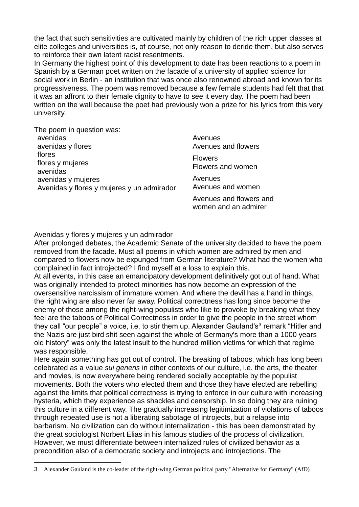the fact that such sensitivities are cultivated mainly by children of the rich upper classes at elite colleges and universities is, of course, not only reason to deride them, but also serves to reinforce their own latent racist resentments.

In Germany the highest point of this development to date has been reactions to a poem in Spanish by a German poet written on the facade of a university of applied science for social work in Berlin - an institution that was once also renowned abroad and known for its progressiveness. The poem was removed because a few female students had felt that that it was an affront to their female dignity to have to see it every day. The poem had been written on the wall because the poet had previously won a prize for his lyrics from this very university.

| The poem in question was:                                                                                  |                                     |
|------------------------------------------------------------------------------------------------------------|-------------------------------------|
| avenidas<br>avenidas y flores                                                                              | Avenues<br>Avenues and flowers      |
| flores<br>flores y mujeres<br>avenidas<br>avenidas y mujeres<br>Avenidas y flores y mujeres y un admirador | <b>Flowers</b><br>Flowers and women |
|                                                                                                            | Avenues<br>Avenues and women        |
|                                                                                                            | Avenues and flowers ar              |

Avenues and flowers and women and an admirer

#### Avenidas y flores y mujeres y un admirador

1

After prolonged debates, the Academic Senate of the university decided to have the poem removed from the facade. Must all poems in which women are admired by men and compared to flowers now be expunged from German literature? What had the women who complained in fact introjected? I find myself at a loss to explain this.

At all events, in this case an emancipatory development definitively got out of hand. What was originally intended to protect minorities has now become an expression of the oversensitive narcissism of immature women. And where the devil has a hand in things, the right wing are also never far away. Political correctness has long since become the enemy of those among the right-wing populists who like to provoke by breaking what they feel are the taboos of Political Correctness in order to give the people in the street whom they call "our people" a voice, i.e. to stir them up. Alexander Gauland's<sup>3</sup> remark "Hitler and the Nazis are just bird shit seen against the whole of Germany's more than a 1000 years old history" was only the latest insult to the hundred million victims for which that regime was responsible.

Here again something has got out of control. The breaking of taboos, which has long been celebrated as a value *sui generis* in other contexts of our culture, i.e. the arts, the theater and movies, is now everywhere being rendered socially acceptable by the populist movements. Both the voters who elected them and those they have elected are rebelling against the limits that political correctness is trying to enforce in our culture with increasing hysteria, which they experience as shackles and censorship. In so doing they are ruining this culture in a different way. The gradually increasing legitimization of violations of taboos through repeated use is not a liberating sabotage of introjects, but a relapse into barbarism. No civilization can do without internalization - this has been demonstrated by the great sociologist Norbert Elias in his famous studies of the process of civilization. However, we must differentiate between internalized rules of civilized behavior as a precondition also of a democratic society and introjects and introjections. The

<sup>3</sup> Alexander Gauland is the co-leader of the right-wing German political party "Alternative for Germany" (AfD)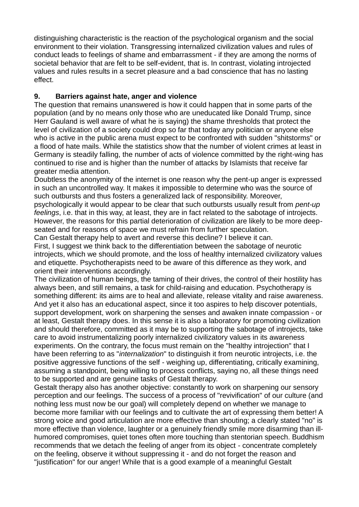distinguishing characteristic is the reaction of the psychological organism and the social environment to their violation. Transgressing internalized civilization values and rules of conduct leads to feelings of shame and embarrassment - if they are among the norms of societal behavior that are felt to be self-evident, that is. In contrast, violating introjected values and rules results in a secret pleasure and a bad conscience that has no lasting effect.

## **9. Barriers against hate, anger and violence**

The question that remains unanswered is how it could happen that in some parts of the population (and by no means only those who are uneducated like Donald Trump, since Herr Gauland is well aware of what he is saying) the shame thresholds that protect the level of civilization of a society could drop so far that today any politician or anyone else who is active in the public arena must expect to be confronted with sudden "shitstorms" or a flood of hate mails. While the statistics show that the number of violent crimes at least in Germany is steadily falling, the number of acts of violence committed by the right-wing has continued to rise and is higher than the number of attacks by Islamists that receive far greater media attention.

Doubtless the anonymity of the internet is one reason why the pent-up anger is expressed in such an uncontrolled way. It makes it impossible to determine who was the source of such outbursts and thus fosters a generalized lack of responsibility. Moreover,

psychologically it would appear to be clear that such outbursts usually result from *pent-up feelings*, i.e. that in this way, at least, they are in fact related to the sabotage of introjects. However, the reasons for this partial deterioration of civilization are likely to be more deepseated and for reasons of space we must refrain from further speculation.

Can Gestalt therapy help to avert and reverse this decline? I believe it can.

First, I suggest we think back to the differentiation between the sabotage of neurotic introjects, which we should promote, and the loss of healthy internalized civilizatory values and etiquette. Psychotherapists need to be aware of this difference as they work, and orient their interventions accordingly.

The civilization of human beings, the taming of their drives, the control of their hostility has always been, and still remains, a task for child-raising and education. Psychotherapy is something different: its aims are to heal and alleviate, release vitality and raise awareness. And yet it also has an educational aspect, since it too aspires to help discover potentials, support development, work on sharpening the senses and awaken innate compassion - or at least, Gestalt therapy does. In this sense it is also a laboratory for promoting civilization and should therefore, committed as it may be to supporting the sabotage of introjects, take care to avoid instrumentalizing poorly internalized civilizatory values in its awareness experiments. On the contrary, the focus must remain on the "healthy introjection" that I have been referring to as "*internalization*" to distinguish it from neurotic introjects, i.e. the positive aggressive functions of the self - weighing up, differentiating, critically examining, assuming a standpoint, being willing to process conflicts, saying no, all these things need to be supported and are genuine tasks of Gestalt therapy.

Gestalt therapy also has another objective: constantly to work on sharpening our sensory perception and our feelings. The success of a process of "revivification" of our culture (and nothing less must now be our goal) will completely depend on whether we manage to become more familiar with our feelings and to cultivate the art of expressing them better! A strong voice and good articulation are more effective than shouting; a clearly stated "no" is more effective than violence, laughter or a genuinely friendly smile more disarming than illhumored compromises, quiet tones often more touching than stentorian speech. Buddhism recommends that we detach the feeling of anger from its object - concentrate completely on the feeling, observe it without suppressing it - and do not forget the reason and "justification" for our anger! While that is a good example of a meaningful Gestalt